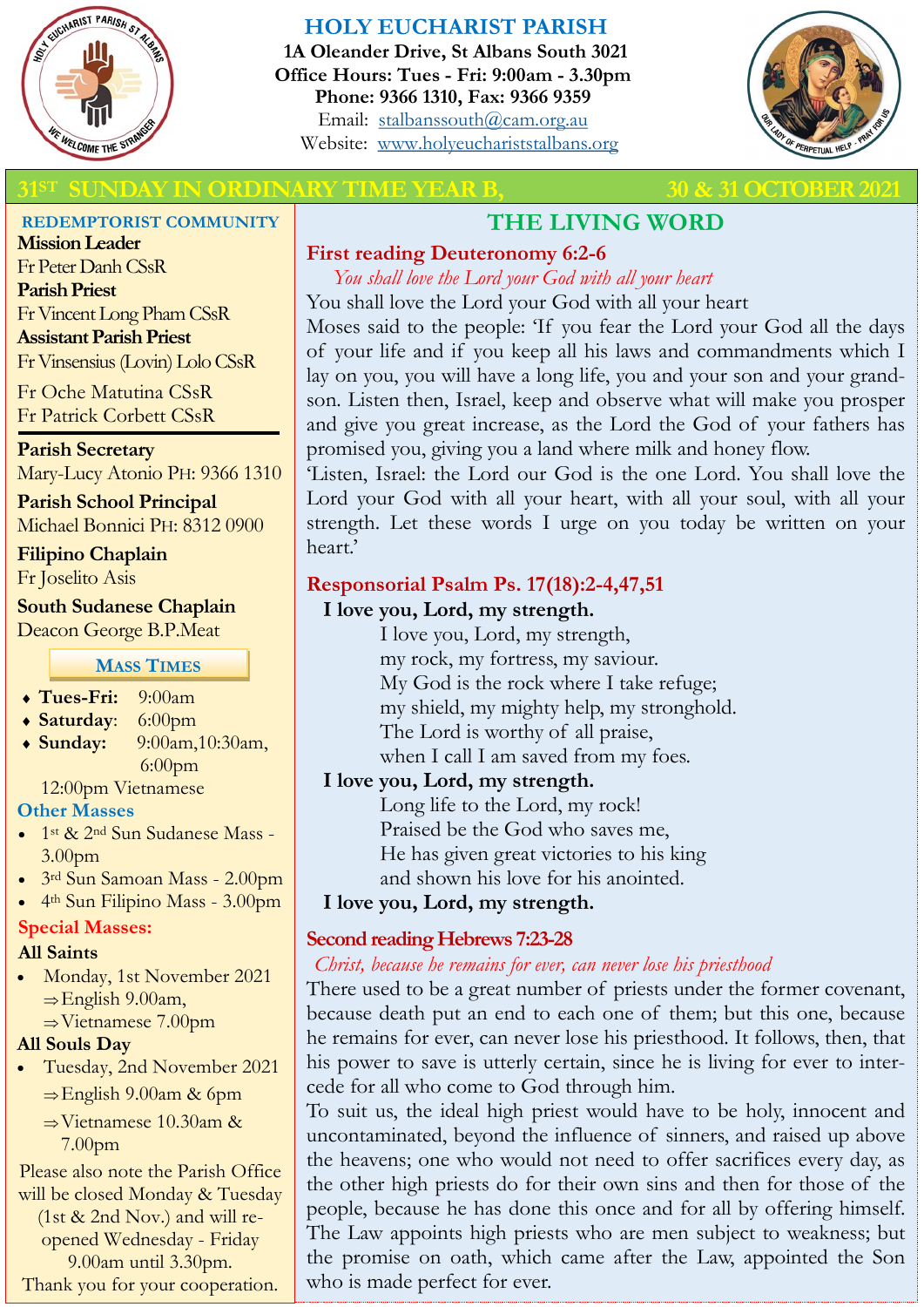

# **HOLY EUCHARIST PARISH**

**1A Oleander Drive, St Albans South 3021 Office Hours: Tues - Fri: 9:00am - 3.30pm Phone: 9366 1310, Fax: 9366 9359** Email: [stalbanssouth@cam.org.au](mailto:stalbanssouth@cam.org.au) Website:[www.holyeuchariststalbans.org](http://www.holyeuchariststalbans.org)



### **30 & 31 OCTOBER 2021 SUNDARY TIME YEAR B, SUNDAY IN ORDINARY TIME YEAR B,**

#### **REDEMPTORIST COMMUNITY**

**Mission Leader** Fr Peter Danh CSsR **Parish Priest** Fr Vincent Long Pham CSsR **Assistant Parish Priest**  Fr Vinsensius (Lovin) Lolo CSsR

Fr Oche Matutina CSsR Fr Patrick Corbett CSsR

**Parish Secretary** Mary-Lucy Atonio PH: 9366 1310

**Parish School Principal** Michael Bonnici PH: 8312 0900

**Filipino Chaplain** Fr Joselito Asis

#### **South Sudanese Chaplain** Deacon George B.P.Meat

#### **MASS TIMES**

- **Tues-Fri:** 9:00am
- **Saturday**: 6:00pm
- **Sunday:** 9:00am,10:30am, 6:00pm

12:00pm Vietnamese

#### **Other Masses**

- 1st & 2nd Sun Sudanese Mass 3.00pm
- 3rd Sun Samoan Mass 2.00pm
- 4th Sun Filipino Mass 3.00pm

#### **Special Masses:**

#### **All Saints**

 Monday, 1st November 2021  $\Rightarrow$  English 9.00am,  $\Rightarrow$  Vietnamese 7.00pm

### **All Souls Day**

- Tuesday, 2nd November 2021  $\Rightarrow$  English 9.00am & 6pm
	- $\Rightarrow$  Vietnamese 10.30am & 7.00pm

Please also note the Parish Office will be closed Monday & Tuesday (1st & 2nd Nov.) and will reopened Wednesday - Friday 9.00am until 3.30pm. Thank you for your cooperation.

# **THE LIVING WORD**

# **First reading Deuteronomy 6:2-6**

*You shall love the Lord your God with all your heart* You shall love the Lord your God with all your heart

Moses said to the people: 'If you fear the Lord your God all the days of your life and if you keep all his laws and commandments which I lay on you, you will have a long life, you and your son and your grandson. Listen then, Israel, keep and observe what will make you prosper and give you great increase, as the Lord the God of your fathers has promised you, giving you a land where milk and honey flow.

'Listen, Israel: the Lord our God is the one Lord. You shall love the Lord your God with all your heart, with all your soul, with all your strength. Let these words I urge on you today be written on your heart.'

# **Responsorial Psalm Ps. 17(18):2-4,47,51**

### **I love you, Lord, my strength.**

I love you, Lord, my strength, my rock, my fortress, my saviour. My God is the rock where I take refuge; my shield, my mighty help, my stronghold. The Lord is worthy of all praise, when I call I am saved from my foes.

# **I love you, Lord, my strength.**

Long life to the Lord, my rock! Praised be the God who saves me, He has given great victories to his king and shown his love for his anointed.

**I love you, Lord, my strength.**

# **Second reading Hebrews 7:23-28**

### *Christ, because he remains for ever, can never lose his priesthood*

There used to be a great number of priests under the former covenant, because death put an end to each one of them; but this one, because he remains for ever, can never lose his priesthood. It follows, then, that his power to save is utterly certain, since he is living for ever to intercede for all who come to God through him.

To suit us, the ideal high priest would have to be holy, innocent and uncontaminated, beyond the influence of sinners, and raised up above the heavens; one who would not need to offer sacrifices every day, as the other high priests do for their own sins and then for those of the people, because he has done this once and for all by offering himself. The Law appoints high priests who are men subject to weakness; but the promise on oath, which came after the Law, appointed the Son who is made perfect for ever.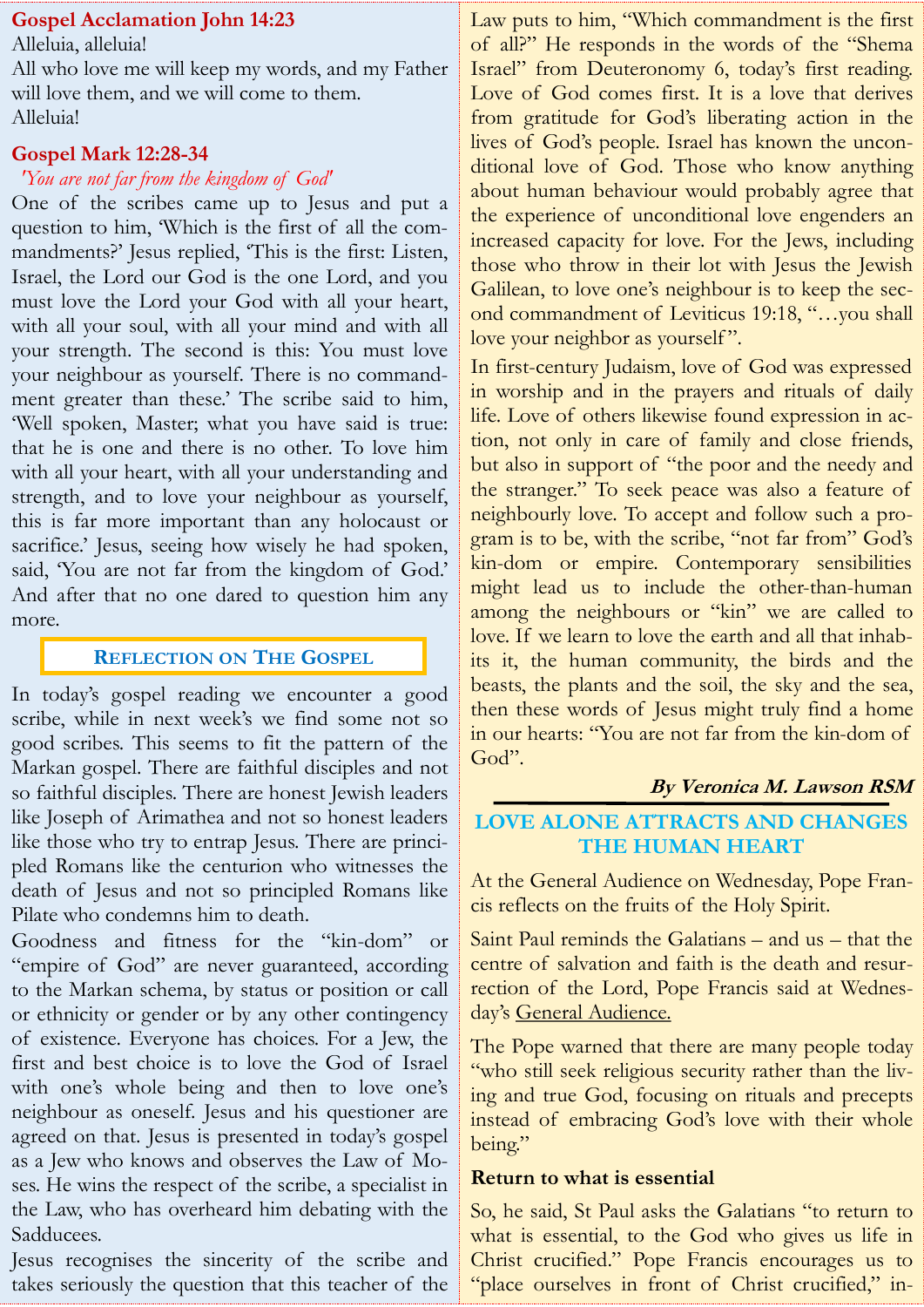# **Gospel Acclamation John 14:23**

Alleluia, alleluia! All who love me will keep my words, and my Father will love them, and we will come to them. Alleluia!

#### **Gospel Mark 12:28-34**

#### *'You are not far from the kingdom of God'*

One of the scribes came up to Jesus and put a question to him, 'Which is the first of all the commandments?' Jesus replied, 'This is the first: Listen, Israel, the Lord our God is the one Lord, and you must love the Lord your God with all your heart, with all your soul, with all your mind and with all your strength. The second is this: You must love your neighbour as yourself. There is no commandment greater than these.' The scribe said to him, 'Well spoken, Master; what you have said is true: that he is one and there is no other. To love him with all your heart, with all your understanding and strength, and to love your neighbour as yourself, this is far more important than any holocaust or sacrifice.' Jesus, seeing how wisely he had spoken, said, 'You are not far from the kingdom of God.' And after that no one dared to question him any more.

### **REFLECTION ON THE GOSPEL**

In today's gospel reading we encounter a good scribe, while in next week's we find some not so good scribes. This seems to fit the pattern of the Markan gospel. There are faithful disciples and not so faithful disciples. There are honest Jewish leaders like Joseph of Arimathea and not so honest leaders like those who try to entrap Jesus. There are principled Romans like the centurion who witnesses the death of Jesus and not so principled Romans like Pilate who condemns him to death.

Goodness and fitness for the "kin-dom" or "empire of God" are never guaranteed, according to the Markan schema, by status or position or call or ethnicity or gender or by any other contingency of existence. Everyone has choices. For a Jew, the first and best choice is to love the God of Israel with one's whole being and then to love one's neighbour as oneself. Jesus and his questioner are agreed on that. Jesus is presented in today's gospel as a Jew who knows and observes the Law of Moses. He wins the respect of the scribe, a specialist in the Law, who has overheard him debating with the Sadducees.

Jesus recognises the sincerity of the scribe and takes seriously the question that this teacher of the

Law puts to him, "Which commandment is the first of all?" He responds in the words of the "Shema Israel" from Deuteronomy 6, today's first reading. Love of God comes first. It is a love that derives from gratitude for God's liberating action in the lives of God's people. Israel has known the unconditional love of God. Those who know anything about human behaviour would probably agree that the experience of unconditional love engenders an increased capacity for love. For the Jews, including those who throw in their lot with Jesus the Jewish Galilean, to love one's neighbour is to keep the second commandment of Leviticus 19:18, "…you shall love your neighbor as yourself".

In first-century Judaism, love of God was expressed in worship and in the prayers and rituals of daily life. Love of others likewise found expression in action, not only in care of family and close friends, but also in support of "the poor and the needy and the stranger." To seek peace was also a feature of neighbourly love. To accept and follow such a program is to be, with the scribe, "not far from" God's kin-dom or empire. Contemporary sensibilities might lead us to include the other-than-human among the neighbours or "kin" we are called to love. If we learn to love the earth and all that inhabits it, the human community, the birds and the beasts, the plants and the soil, the sky and the sea, then these words of Jesus might truly find a home in our hearts: "You are not far from the kin-dom of God".

### **By Veronica M. Lawson RSM**

# **LOVE ALONE ATTRACTS AND CHANGES THE HUMAN HEART**

At the General Audience on Wednesday, Pope Francis reflects on the fruits of the Holy Spirit.

Saint Paul reminds the Galatians – and us – that the centre of salvation and faith is the death and resurrection of the Lord, Pope Francis said at Wednesday's General Audience.

The Pope warned that there are many people today "who still seek religious security rather than the living and true God, focusing on rituals and precepts instead of embracing God's love with their whole being."

#### **Return to what is essential**

So, he said, St Paul asks the Galatians "to return to what is essential, to the God who gives us life in Christ crucified." Pope Francis encourages us to "place ourselves in front of Christ crucified," in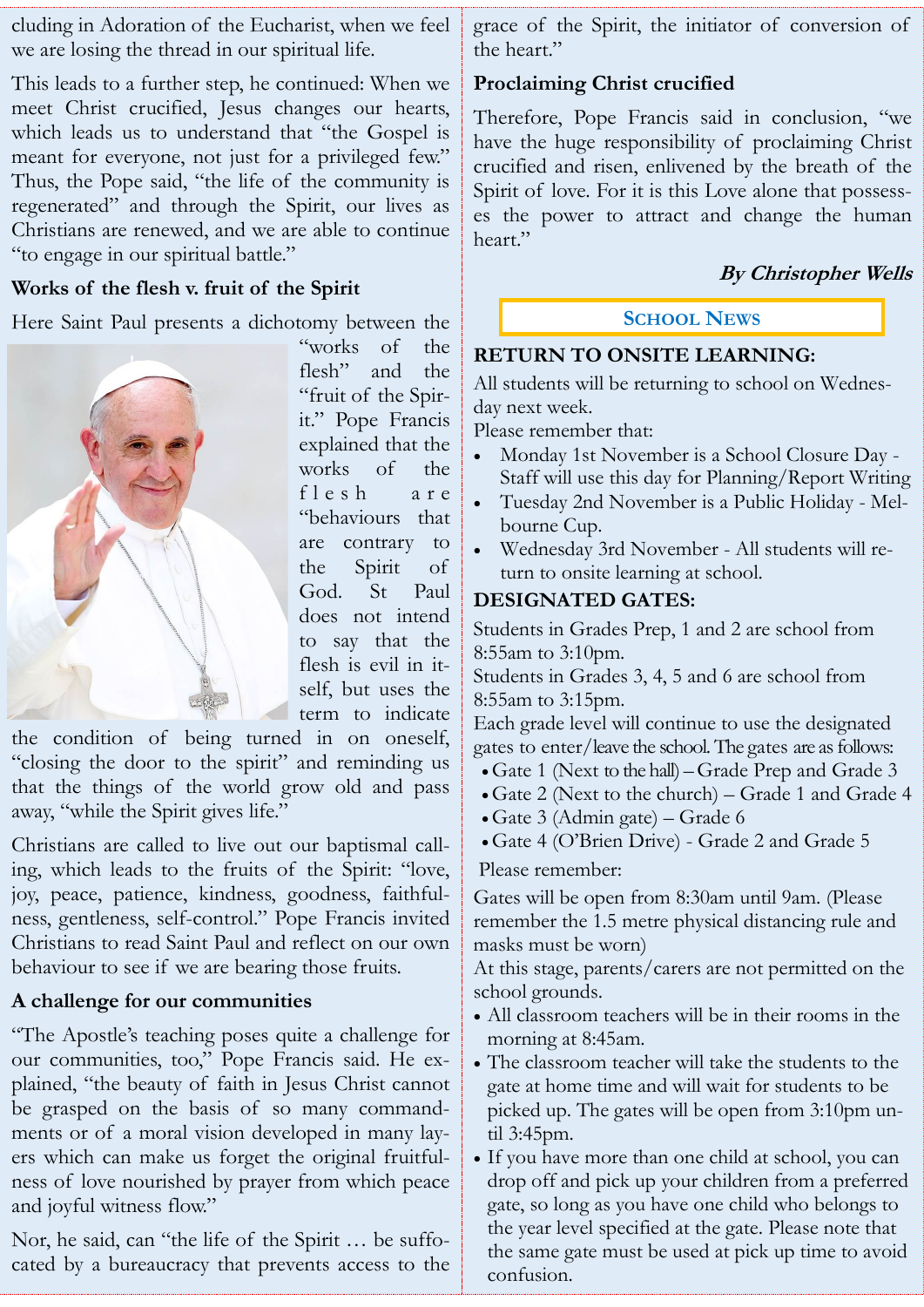cluding in Adoration of the Eucharist, when we feel we are losing the thread in our spiritual life.

This leads to a further step, he continued: When we meet Christ crucified, Jesus changes our hearts, which leads us to understand that "the Gospel is meant for everyone, not just for a privileged few." Thus, the Pope said, "the life of the community is regenerated" and through the Spirit, our lives as Christians are renewed, and we are able to continue "to engage in our spiritual battle."

# **Works of the flesh v. fruit of the Spirit**

Here Saint Paul presents a dichotomy between the



"works of the flesh" and the "fruit of the Spirit." Pope Francis explained that the works of the f l e s h a r e "behaviours that are contrary to the Spirit of God. St Paul does not intend to say that the flesh is evil in itself, but uses the term to indicate

the condition of being turned in on oneself, "closing the door to the spirit" and reminding us that the things of the world grow old and pass away, "while the Spirit gives life."

Christians are called to live out our baptismal calling, which leads to the fruits of the Spirit: "love, joy, peace, patience, kindness, goodness, faithfulness, gentleness, self-control." Pope Francis invited Christians to read Saint Paul and reflect on our own behaviour to see if we are bearing those fruits.

# **A challenge for our communities**

"The Apostle's teaching poses quite a challenge for our communities, too," Pope Francis said. He explained, "the beauty of faith in Jesus Christ cannot be grasped on the basis of so many commandments or of a moral vision developed in many layers which can make us forget the original fruitfulness of love nourished by prayer from which peace and joyful witness flow."

Nor, he said, can "the life of the Spirit … be suffocated by a bureaucracy that prevents access to the grace of the Spirit, the initiator of conversion of the heart."

# **Proclaiming Christ crucified**

Therefore, Pope Francis said in conclusion, "we have the huge responsibility of proclaiming Christ crucified and risen, enlivened by the breath of the Spirit of love. For it is this Love alone that possesses the power to attract and change the human heart."

# **By Christopher Wells**

### **SCHOOL NEWS**

# **RETURN TO ONSITE LEARNING:**

All students will be returning to school on Wednesday next week.

Please remember that:

- Monday 1st November is a School Closure Day Staff will use this day for Planning/Report Writing
- Tuesday 2nd November is a Public Holiday Melbourne Cup.
- Wednesday 3rd November All students will return to onsite learning at school.

# **DESIGNATED GATES:**

Students in Grades Prep, 1 and 2 are school from 8:55am to 3:10pm.

Students in Grades 3, 4, 5 and 6 are school from 8:55am to 3:15pm.

Each grade level will continue to use the designated gates to enter/leave the school. The gates are as follows:

- Gate 1 (Next to the hall) –Grade Prep and Grade 3
- Gate 2 (Next to the church) Grade 1 and Grade 4
- Gate 3 (Admin gate) Grade 6
- Gate 4 (O'Brien Drive) Grade 2 and Grade 5

Please remember:

Gates will be open from 8:30am until 9am. (Please remember the 1.5 metre physical distancing rule and masks must be worn)

At this stage, parents/carers are not permitted on the school grounds.

- All classroom teachers will be in their rooms in the morning at 8:45am.
- The classroom teacher will take the students to the gate at home time and will wait for students to be picked up. The gates will be open from 3:10pm until 3:45pm.
- If you have more than one child at school, you can drop off and pick up your children from a preferred gate, so long as you have one child who belongs to the year level specified at the gate. Please note that the same gate must be used at pick up time to avoid confusion.